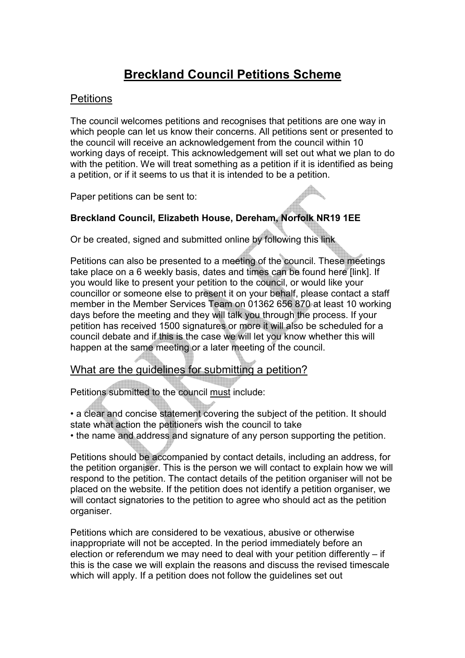# Breckland Council Petitions Scheme

# **Petitions**

The council welcomes petitions and recognises that petitions are one way in which people can let us know their concerns. All petitions sent or presented to the council will receive an acknowledgement from the council within 10 working days of receipt. This acknowledgement will set out what we plan to do with the petition. We will treat something as a petition if it is identified as being a petition, or if it seems to us that it is intended to be a petition.

Paper petitions can be sent to:

# Breckland Council, Elizabeth House, Dereham, Norfolk NR19 1EE

Or be created, signed and submitted online by following this link

Petitions can also be presented to a meeting of the council. These meetings take place on a 6 weekly basis, dates and times can be found here [link]. If you would like to present your petition to the council, or would like your councillor or someone else to present it on your behalf, please contact a staff member in the Member Services Team on 01362 656 870 at least 10 working days before the meeting and they will talk you through the process. If your petition has received 1500 signatures or more it will also be scheduled for a council debate and if this is the case we will let you know whether this will happen at the same meeting or a later meeting of the council.

# What are the quidelines for submitting a petition?

Petitions submitted to the council must include:

• a clear and concise statement covering the subject of the petition. It should state what action the petitioners wish the council to take

• the name and address and signature of any person supporting the petition.

Petitions should be accompanied by contact details, including an address, for the petition organiser. This is the person we will contact to explain how we will respond to the petition. The contact details of the petition organiser will not be placed on the website. If the petition does not identify a petition organiser, we will contact signatories to the petition to agree who should act as the petition organiser.

Petitions which are considered to be vexatious, abusive or otherwise inappropriate will not be accepted. In the period immediately before an election or referendum we may need to deal with your petition differently – if this is the case we will explain the reasons and discuss the revised timescale which will apply. If a petition does not follow the guidelines set out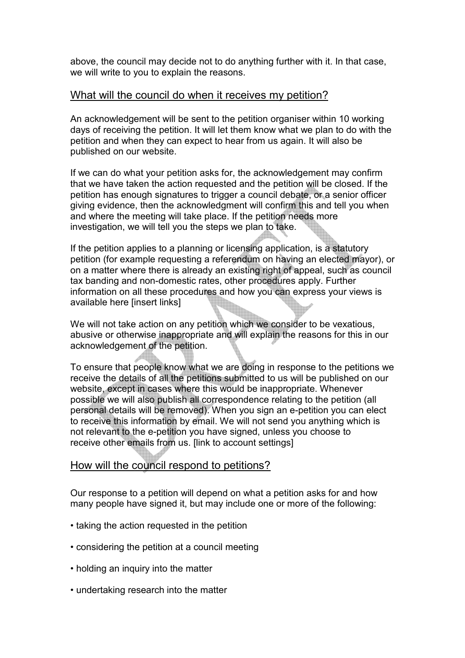above, the council may decide not to do anything further with it. In that case, we will write to you to explain the reasons.

### What will the council do when it receives my petition?

An acknowledgement will be sent to the petition organiser within 10 working days of receiving the petition. It will let them know what we plan to do with the petition and when they can expect to hear from us again. It will also be published on our website.

If we can do what your petition asks for, the acknowledgement may confirm that we have taken the action requested and the petition will be closed. If the petition has enough signatures to trigger a council debate, or a senior officer giving evidence, then the acknowledgment will confirm this and tell you when and where the meeting will take place. If the petition needs more investigation, we will tell you the steps we plan to take.

If the petition applies to a planning or licensing application, is a statutory petition (for example requesting a referendum on having an elected mayor), or on a matter where there is already an existing right of appeal, such as council tax banding and non-domestic rates, other procedures apply. Further information on all these procedures and how you can express your views is available here [insert links]

We will not take action on any petition which we consider to be vexatious, abusive or otherwise inappropriate and will explain the reasons for this in our acknowledgement of the petition.

To ensure that people know what we are doing in response to the petitions we receive the details of all the petitions submitted to us will be published on our website, except in cases where this would be inappropriate. Whenever possible we will also publish all correspondence relating to the petition (all personal details will be removed). When you sign an e-petition you can elect to receive this information by email. We will not send you anything which is not relevant to the e-petition you have signed, unless you choose to receive other emails from us. [link to account settings]

#### How will the council respond to petitions?

Our response to a petition will depend on what a petition asks for and how many people have signed it, but may include one or more of the following:

- taking the action requested in the petition
- considering the petition at a council meeting
- holding an inquiry into the matter
- undertaking research into the matter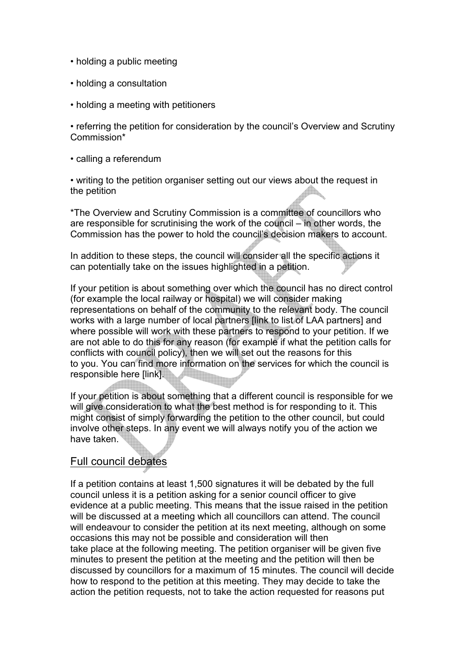- holding a public meeting
- holding a consultation
- holding a meeting with petitioners

• referring the petition for consideration by the council's Overview and Scrutiny Commission\*

• calling a referendum

• writing to the petition organiser setting out our views about the request in the petition

\*The Overview and Scrutiny Commission is a committee of councillors who are responsible for scrutinising the work of the council – in other words, the Commission has the power to hold the council's decision makers to account.

In addition to these steps, the council will consider all the specific actions it can potentially take on the issues highlighted in a petition.

If your petition is about something over which the council has no direct control (for example the local railway or hospital) we will consider making representations on behalf of the community to the relevant body. The council works with a large number of local partners [link to list of LAA partners] and where possible will work with these partners to respond to your petition. If we are not able to do this for any reason (for example if what the petition calls for conflicts with council policy), then we will set out the reasons for this to you. You can find more information on the services for which the council is responsible here [link].

If your petition is about something that a different council is responsible for we will give consideration to what the best method is for responding to it. This might consist of simply forwarding the petition to the other council, but could involve other steps. In any event we will always notify you of the action we have taken.

# Full council debates

If a petition contains at least 1,500 signatures it will be debated by the full council unless it is a petition asking for a senior council officer to give evidence at a public meeting. This means that the issue raised in the petition will be discussed at a meeting which all councillors can attend. The council will endeavour to consider the petition at its next meeting, although on some occasions this may not be possible and consideration will then take place at the following meeting. The petition organiser will be given five minutes to present the petition at the meeting and the petition will then be discussed by councillors for a maximum of 15 minutes. The council will decide how to respond to the petition at this meeting. They may decide to take the action the petition requests, not to take the action requested for reasons put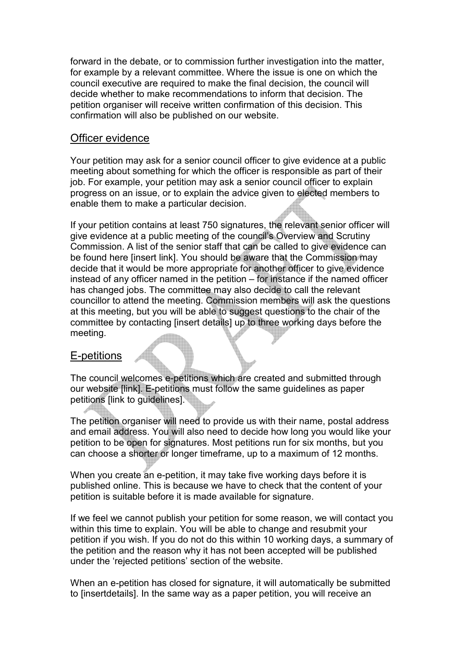forward in the debate, or to commission further investigation into the matter, for example by a relevant committee. Where the issue is one on which the council executive are required to make the final decision, the council will decide whether to make recommendations to inform that decision. The petition organiser will receive written confirmation of this decision. This confirmation will also be published on our website.

#### Officer evidence

Your petition may ask for a senior council officer to give evidence at a public meeting about something for which the officer is responsible as part of their job. For example, your petition may ask a senior council officer to explain progress on an issue, or to explain the advice given to elected members to enable them to make a particular decision.

If your petition contains at least 750 signatures, the relevant senior officer will give evidence at a public meeting of the council's Overview and Scrutiny Commission. A list of the senior staff that can be called to give evidence can be found here [insert link]. You should be aware that the Commission may decide that it would be more appropriate for another officer to give evidence instead of any officer named in the petition – for instance if the named officer has changed jobs. The committee may also decide to call the relevant councillor to attend the meeting. Commission members will ask the questions at this meeting, but you will be able to suggest questions to the chair of the committee by contacting [insert details] up to three working days before the meeting.

# E-petitions

The council welcomes e-petitions which are created and submitted through our website [link]. E-petitions must follow the same guidelines as paper petitions [link to guidelines].

The petition organiser will need to provide us with their name, postal address and email address. You will also need to decide how long you would like your petition to be open for signatures. Most petitions run for six months, but you can choose a shorter or longer timeframe, up to a maximum of 12 months.

When you create an e-petition, it may take five working days before it is published online. This is because we have to check that the content of your petition is suitable before it is made available for signature.

If we feel we cannot publish your petition for some reason, we will contact you within this time to explain. You will be able to change and resubmit your petition if you wish. If you do not do this within 10 working days, a summary of the petition and the reason why it has not been accepted will be published under the 'rejected petitions' section of the website.

When an e-petition has closed for signature, it will automatically be submitted to [insertdetails]. In the same way as a paper petition, you will receive an